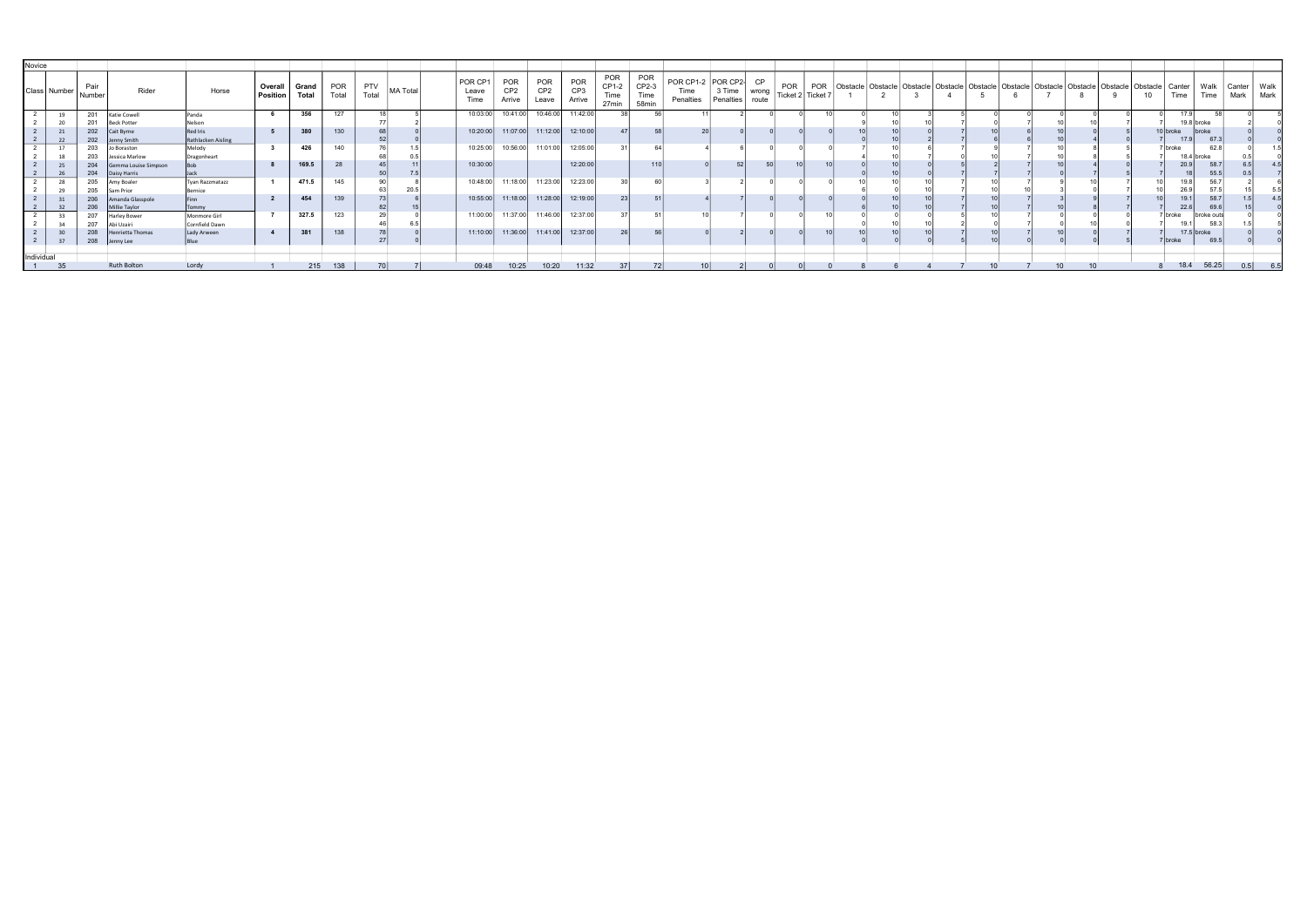| Novice |                     |            |                                |                               |                       |                       |                     |                     |          |                          |                                         |                                        |                                  |                               |                                      |                                         |                     |                             |                          |     |  |                                                                                                                      |  |  |  |    |               |                 |                       |      |
|--------|---------------------|------------|--------------------------------|-------------------------------|-----------------------|-----------------------|---------------------|---------------------|----------|--------------------------|-----------------------------------------|----------------------------------------|----------------------------------|-------------------------------|--------------------------------------|-----------------------------------------|---------------------|-----------------------------|--------------------------|-----|--|----------------------------------------------------------------------------------------------------------------------|--|--|--|----|---------------|-----------------|-----------------------|------|
|        | Class Number Number | Pair       | Rider                          | Horse                         | Overall  <br>Position | Grand<br><b>Total</b> | <b>POR</b><br>Total | <b>PTV</b><br>Total | MA Total | POR CP1<br>Leave<br>Time | <b>POR</b><br>CP <sub>2</sub><br>Arrive | <b>POR</b><br>CP <sub>2</sub><br>Leave | POR<br>CP <sub>3</sub><br>Arrive | POR<br>CP1-2<br>Гіmе<br>27min | <b>POR</b><br>CP2-3<br>Time<br>58min | POR CP1-2 POR CP2-<br>Time<br>Penalties | 3 Time<br>Penalties | <b>CP</b><br>wrong<br>route | POR<br>Ticket 2 Ticket 7 | POR |  | Obstacle   Obstacle   Obstacle   Obstacle   Obstacle   Obstacle   Obstacle   Obstacle   Obstacle   Obstacle   Canter |  |  |  | 10 | Time          | Walk<br>Time    | Canter<br>Mark   Mark | Walk |
|        | 19                  | 201        | <b>Katie Cowell</b>            | Panda                         |                       | 356                   | 127                 |                     |          | 10:03:00                 | 10:41:00                                | 10:46:00                               | 11:42:00                         | 38                            | 56                                   |                                         |                     |                             |                          |     |  |                                                                                                                      |  |  |  |    | 17.9          |                 |                       |      |
|        |                     |            | <b>Beck Potter</b>             | Nelson                        |                       |                       |                     |                     |          |                          |                                         |                                        |                                  |                               |                                      |                                         |                     |                             |                          |     |  |                                                                                                                      |  |  |  |    | 19.8 broke    |                 |                       |      |
|        |                     | 202        | Cait Byrne                     | Red Iris                      |                       | 380                   | 130                 |                     |          | 10:20:00                 |                                         | 11:07:00 11:12:00                      | 12:10:00                         |                               | 58                                   |                                         |                     |                             |                          |     |  |                                                                                                                      |  |  |  |    | 10   broke    | <b>broke</b>    |                       |      |
|        |                     | 202        | Jenny Smith                    | Rathlacken Aisling            |                       |                       |                     |                     |          |                          |                                         |                                        |                                  |                               |                                      |                                         |                     |                             |                          |     |  |                                                                                                                      |  |  |  |    | 17.9          | 67.3            |                       |      |
|        |                     | 203        | lo Boraston                    | Melody                        |                       | 426                   | 140                 |                     |          | 10:25:00                 | 10:56:00                                | 11:01:00                               | 12:05:00                         |                               |                                      |                                         |                     |                             |                          |     |  |                                                                                                                      |  |  |  |    | broke         | 62.8            |                       |      |
|        |                     | 203        | Jessica Marlow                 | Dragonheart                   |                       |                       |                     |                     |          |                          |                                         |                                        |                                  |                               |                                      |                                         | 52                  |                             |                          |     |  |                                                                                                                      |  |  |  |    | 18.4 broke    |                 |                       |      |
|        |                     | 204        | Gemma Louise Simpson           |                               |                       | 169.5                 | 28                  |                     |          | 10:30:00                 |                                         |                                        | 12:20:00                         |                               | 110                                  |                                         |                     |                             |                          |     |  |                                                                                                                      |  |  |  |    |               | 58.7            |                       |      |
|        |                     | 204        | Daisy Harris                   | Jack                          |                       |                       |                     |                     |          |                          |                                         |                                        |                                  |                               |                                      |                                         |                     |                             |                          |     |  |                                                                                                                      |  |  |  |    |               | 55.5            |                       |      |
|        |                     | 205        | Amy Boaler                     | <b>Tvan Razzmatazz</b>        |                       | 471.5                 | 145                 |                     |          | 10:48:00                 | 11:18:00                                | 11:23:00                               | 12:23:00                         |                               |                                      |                                         |                     |                             |                          |     |  |                                                                                                                      |  |  |  |    |               | 56              |                       |      |
|        |                     | 205        | Sam Prior                      | Bernice                       |                       | 454                   | 139                 |                     |          | 10:55:00                 | 11:18:00                                | 11:28:00                               | 12:19:00                         |                               |                                      |                                         |                     |                             |                          |     |  |                                                                                                                      |  |  |  |    |               | 57.             |                       |      |
|        |                     | 206        | Amanda Glasspole               | Finn                          |                       |                       |                     |                     |          |                          |                                         |                                        |                                  |                               |                                      |                                         |                     |                             |                          |     |  |                                                                                                                      |  |  |  |    |               | 58.7            |                       |      |
|        |                     | 206<br>207 | Millie Taylor                  | Tommy                         |                       | 327.5                 | 123                 |                     |          | 11:00:00                 | 11:37:00                                | 11:46:00                               | 12:37:00                         |                               |                                      |                                         |                     |                             |                          |     |  |                                                                                                                      |  |  |  |    | 22.6          | 69.6            |                       |      |
|        |                     |            | <b>Harley Bower</b>            | Monmore Girl                  |                       |                       |                     |                     |          |                          |                                         |                                        |                                  |                               |                                      |                                         |                     |                             |                          |     |  |                                                                                                                      |  |  |  |    | broke<br>19.1 | broke ou<br>58. |                       |      |
|        |                     | 207<br>208 | \bi Uzairi<br>Henrietta Thomas | Cornfield Dawn<br>Lady Arween |                       | 381                   | 138                 |                     |          | 11:10:00                 | 11:36:00                                | 11:41:00                               | 12:37:00                         | <b>26</b>                     | -56 l                                |                                         |                     |                             |                          |     |  |                                                                                                                      |  |  |  |    | $17.5$ broke  |                 |                       |      |
|        | 37                  | 208        | Jenny Lee                      |                               |                       |                       |                     |                     |          |                          |                                         |                                        |                                  |                               |                                      |                                         |                     |                             |                          |     |  |                                                                                                                      |  |  |  |    | 7 Ibroke      | 69.5            |                       |      |
|        |                     |            |                                | Blue                          |                       |                       |                     |                     |          |                          |                                         |                                        |                                  |                               |                                      |                                         |                     |                             |                          |     |  |                                                                                                                      |  |  |  |    |               |                 |                       |      |
|        | Individual          |            |                                |                               |                       |                       |                     |                     |          |                          |                                         |                                        |                                  |                               |                                      |                                         |                     |                             |                          |     |  |                                                                                                                      |  |  |  |    |               |                 |                       |      |
|        | 35                  |            | Ruth Bolton                    | Lordy                         |                       |                       | 215 138             | 70 <sup>1</sup>     |          | 09:48                    | 10:25                                   | 10:20                                  | 11:32                            | 37 <sup>1</sup>               | <b>72L</b>                           | 10                                      |                     |                             |                          |     |  |                                                                                                                      |  |  |  |    |               | 18.4 56.25      |                       |      |